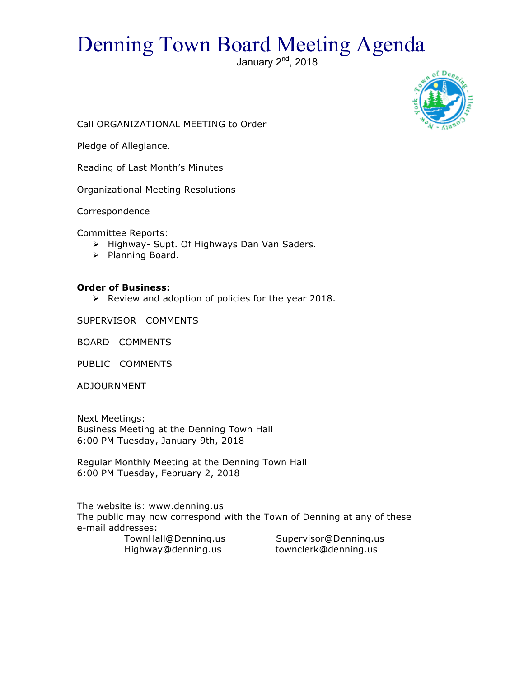# Denning Town Board Meeting Agenda

January  $2<sup>nd</sup>$ , 2018



Call ORGANIZATIONAL MEETING to Order

Pledge of Allegiance.

Reading of Last Month's Minutes

Organizational Meeting Resolutions

Correspondence

Committee Reports:

- > Highway- Supt. Of Highways Dan Van Saders.
- > Planning Board.

#### **Order of Business:**

 $\triangleright$  Review and adoption of policies for the year 2018.

SUPERVISOR COMMENTS

BOARD COMMENTS

PUBLIC COMMENTS

ADJOURNMENT

Next Meetings: Business Meeting at the Denning Town Hall 6:00 PM Tuesday, January 9th, 2018

Regular Monthly Meeting at the Denning Town Hall 6:00 PM Tuesday, February 2, 2018

The website is: www.denning.us The public may now correspond with the Town of Denning at any of these e-mail addresses:

 TownHall@Denning.us Supervisor@Denning.us Highway@denning.us townclerk@denning.us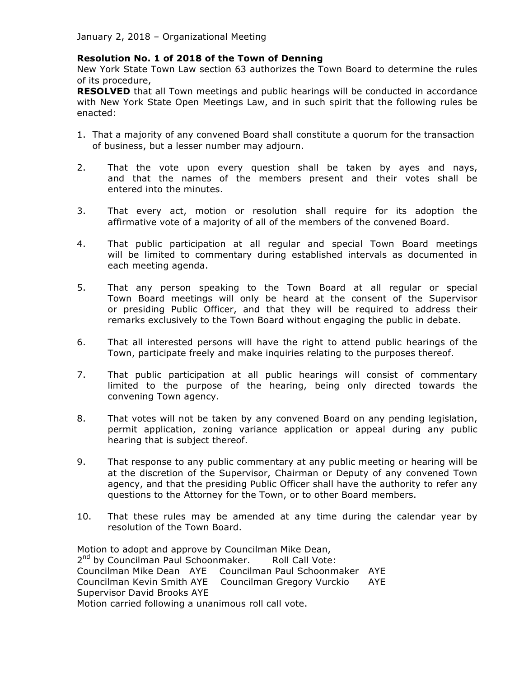### **Resolution No. 1 of 2018 of the Town of Denning**

New York State Town Law section 63 authorizes the Town Board to determine the rules of its procedure,

**RESOLVED** that all Town meetings and public hearings will be conducted in accordance with New York State Open Meetings Law, and in such spirit that the following rules be enacted:

- 1. That a majority of any convened Board shall constitute a quorum for the transaction of business, but a lesser number may adjourn.
- 2. That the vote upon every question shall be taken by ayes and nays, and that the names of the members present and their votes shall be entered into the minutes.
- 3. That every act, motion or resolution shall require for its adoption the affirmative vote of a majority of all of the members of the convened Board.
- 4. That public participation at all regular and special Town Board meetings will be limited to commentary during established intervals as documented in each meeting agenda.
- 5. That any person speaking to the Town Board at all regular or special Town Board meetings will only be heard at the consent of the Supervisor or presiding Public Officer, and that they will be required to address their remarks exclusively to the Town Board without engaging the public in debate.
- 6. That all interested persons will have the right to attend public hearings of the Town, participate freely and make inquiries relating to the purposes thereof.
- 7. That public participation at all public hearings will consist of commentary limited to the purpose of the hearing, being only directed towards the convening Town agency.
- 8. That votes will not be taken by any convened Board on any pending legislation, permit application, zoning variance application or appeal during any public hearing that is subject thereof.
- 9. That response to any public commentary at any public meeting or hearing will be at the discretion of the Supervisor, Chairman or Deputy of any convened Town agency, and that the presiding Public Officer shall have the authority to refer any questions to the Attorney for the Town, or to other Board members.
- 10. That these rules may be amended at any time during the calendar year by resolution of the Town Board.

Motion to adopt and approve by Councilman Mike Dean, 2<sup>nd</sup> by Councilman Paul Schoonmaker. Roll Call Vote: Councilman Mike Dean AYE Councilman Paul Schoonmaker AYE Councilman Kevin Smith AYE Councilman Gregory Vurckio AYE Supervisor David Brooks AYE Motion carried following a unanimous roll call vote.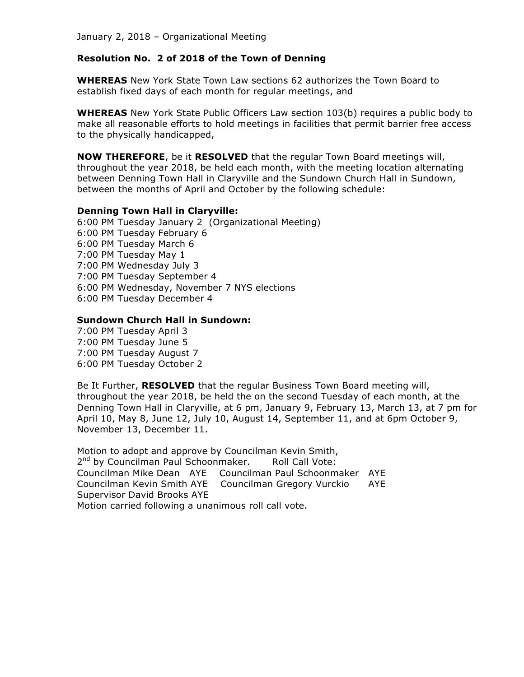#### **Resolution No. 2 of 2018 of the Town of Denning**

**WHEREAS** New York State Town Law sections 62 authorizes the Town Board to establish fixed days of each month for regular meetings, and

**WHEREAS** New York State Public Officers Law section 103(b) requires a public body to make all reasonable efforts to hold meetings in facilities that permit barrier free access to the physically handicapped,

**NOW THEREFORE**, be it **RESOLVED** that the regular Town Board meetings will, throughout the year 2018, be held each month, with the meeting location alternating between Denning Town Hall in Claryville and the Sundown Church Hall in Sundown, between the months of April and October by the following schedule:

#### **Denning Town Hall in Claryville:**

6:00 PM Tuesday January 2 (Organizational Meeting) 6:00 PM Tuesday February 6 6:00 PM Tuesday March 6 7:00 PM Tuesday May 1 7:00 PM Wednesday July 3 7:00 PM Tuesday September 4 6:00 PM Wednesday, November 7 NYS elections 6:00 PM Tuesday December 4

#### **Sundown Church Hall in Sundown:**

7:00 PM Tuesday April 3 7:00 PM Tuesday June 5 7:00 PM Tuesday August 7 6:00 PM Tuesday October 2

Be It Further, **RESOLVED** that the regular Business Town Board meeting will, throughout the year 2018, be held the on the second Tuesday of each month, at the Denning Town Hall in Claryville, at 6 pm, January 9, February 13, March 13, at 7 pm for April 10, May 8, June 12, July 10, August 14, September 11, and at 6pm October 9, November 13, December 11.

Motion to adopt and approve by Councilman Kevin Smith, 2<sup>nd</sup> by Councilman Paul Schoonmaker. Roll Call Vote: Councilman Mike Dean AYE Councilman Paul Schoonmaker AYE Councilman Kevin Smith AYE Councilman Gregory Vurckio AYE Supervisor David Brooks AYE Motion carried following a unanimous roll call vote.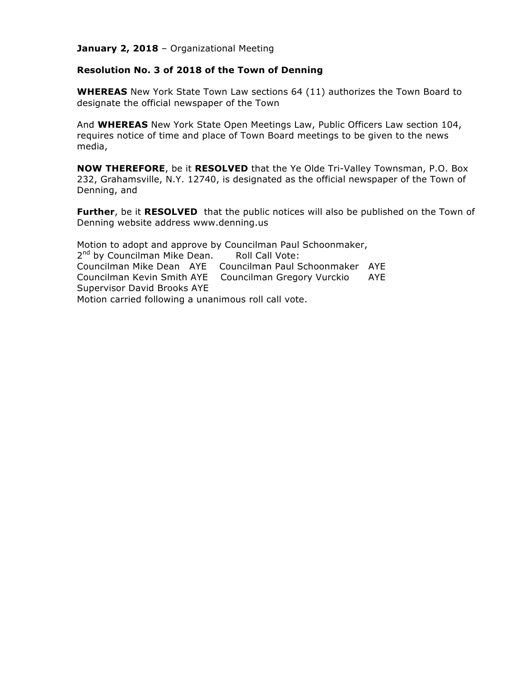#### **Resolution No. 3 of 2018 of the Town of Denning**

**WHEREAS** New York State Town Law sections 64 (11) authorizes the Town Board to designate the official newspaper of the Town

And **WHEREAS** New York State Open Meetings Law, Public Officers Law section 104, requires notice of time and place of Town Board meetings to be given to the news media,

**NOW THEREFORE**, be it **RESOLVED** that the Ye Olde Tri-Valley Townsman, P.O. Box 232, Grahamsville, N.Y. 12740, is designated as the official newspaper of the Town of Denning, and

**Further**, be it **RESOLVED** that the public notices will also be published on the Town of Denning website address www.denning.us

Motion to adopt and approve by Councilman Paul Schoonmaker, 2<sup>nd</sup> by Councilman Mike Dean. Roll Call Vote: Councilman Mike Dean AYE Councilman Paul Schoonmaker AYE Councilman Kevin Smith AYE Councilman Gregory Vurckio AYE Supervisor David Brooks AYE Motion carried following a unanimous roll call vote.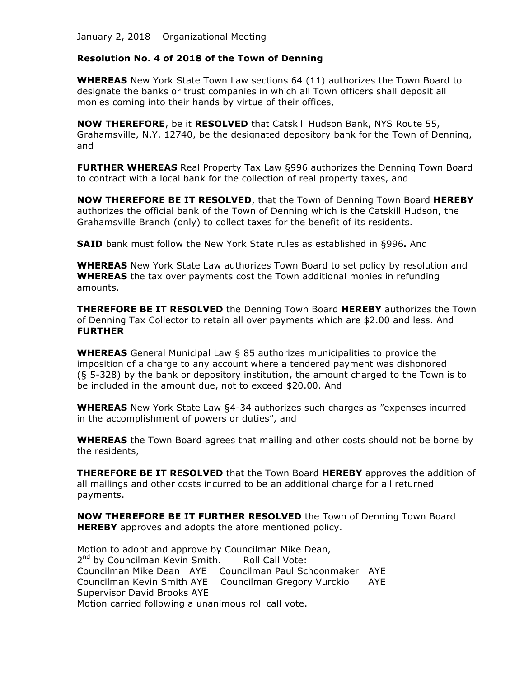#### **Resolution No. 4 of 2018 of the Town of Denning**

**WHEREAS** New York State Town Law sections 64 (11) authorizes the Town Board to designate the banks or trust companies in which all Town officers shall deposit all monies coming into their hands by virtue of their offices,

**NOW THEREFORE**, be it **RESOLVED** that Catskill Hudson Bank, NYS Route 55, Grahamsville, N.Y. 12740, be the designated depository bank for the Town of Denning, and

**FURTHER WHEREAS** Real Property Tax Law §996 authorizes the Denning Town Board to contract with a local bank for the collection of real property taxes, and

**NOW THEREFORE BE IT RESOLVED**, that the Town of Denning Town Board **HEREBY** authorizes the official bank of the Town of Denning which is the Catskill Hudson, the Grahamsville Branch (only) to collect taxes for the benefit of its residents.

**SAID** bank must follow the New York State rules as established in §996**.** And

**WHEREAS** New York State Law authorizes Town Board to set policy by resolution and **WHEREAS** the tax over payments cost the Town additional monies in refunding amounts.

**THEREFORE BE IT RESOLVED** the Denning Town Board **HEREBY** authorizes the Town of Denning Tax Collector to retain all over payments which are \$2.00 and less. And **FURTHER**

**WHEREAS** General Municipal Law § 85 authorizes municipalities to provide the imposition of a charge to any account where a tendered payment was dishonored (§ 5-328) by the bank or depository institution, the amount charged to the Town is to be included in the amount due, not to exceed \$20.00. And

**WHEREAS** New York State Law §4-34 authorizes such charges as "expenses incurred in the accomplishment of powers or duties", and

**WHEREAS** the Town Board agrees that mailing and other costs should not be borne by the residents,

**THEREFORE BE IT RESOLVED** that the Town Board **HEREBY** approves the addition of all mailings and other costs incurred to be an additional charge for all returned payments.

**NOW THEREFORE BE IT FURTHER RESOLVED** the Town of Denning Town Board **HEREBY** approves and adopts the afore mentioned policy.

Motion to adopt and approve by Councilman Mike Dean, 2<sup>nd</sup> by Councilman Kevin Smith. Roll Call Vote: Councilman Mike Dean AYE Councilman Paul Schoonmaker AYE Councilman Kevin Smith AYE Councilman Gregory Vurckio AYE Supervisor David Brooks AYE Motion carried following a unanimous roll call vote.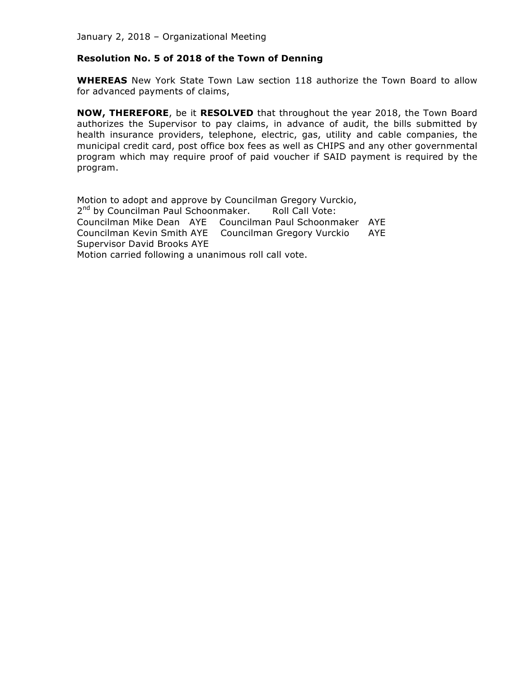#### **Resolution No. 5 of 2018 of the Town of Denning**

**WHEREAS** New York State Town Law section 118 authorize the Town Board to allow for advanced payments of claims,

**NOW, THEREFORE**, be it **RESOLVED** that throughout the year 2018, the Town Board authorizes the Supervisor to pay claims, in advance of audit, the bills submitted by health insurance providers, telephone, electric, gas, utility and cable companies, the municipal credit card, post office box fees as well as CHIPS and any other governmental program which may require proof of paid voucher if SAID payment is required by the program.

Motion to adopt and approve by Councilman Gregory Vurckio, 2<sup>nd</sup> by Councilman Paul Schoonmaker. Roll Call Vote: Councilman Mike Dean AYE Councilman Paul Schoonmaker AYE Councilman Kevin Smith AYE Councilman Gregory Vurckio AYE Supervisor David Brooks AYE Motion carried following a unanimous roll call vote.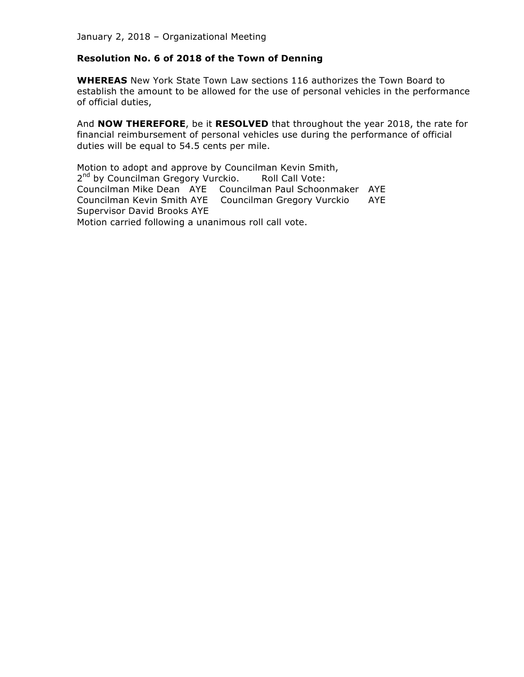#### **Resolution No. 6 of 2018 of the Town of Denning**

**WHEREAS** New York State Town Law sections 116 authorizes the Town Board to establish the amount to be allowed for the use of personal vehicles in the performance of official duties,

And **NOW THEREFORE**, be it **RESOLVED** that throughout the year 2018, the rate for financial reimbursement of personal vehicles use during the performance of official duties will be equal to 54.5 cents per mile.

Motion to adopt and approve by Councilman Kevin Smith, 2<sup>nd</sup> by Councilman Gregory Vurckio. Roll Call Vote: Councilman Mike Dean AYE Councilman Paul Schoonmaker AYE Councilman Kevin Smith AYE Councilman Gregory Vurckio AYE Supervisor David Brooks AYE Motion carried following a unanimous roll call vote.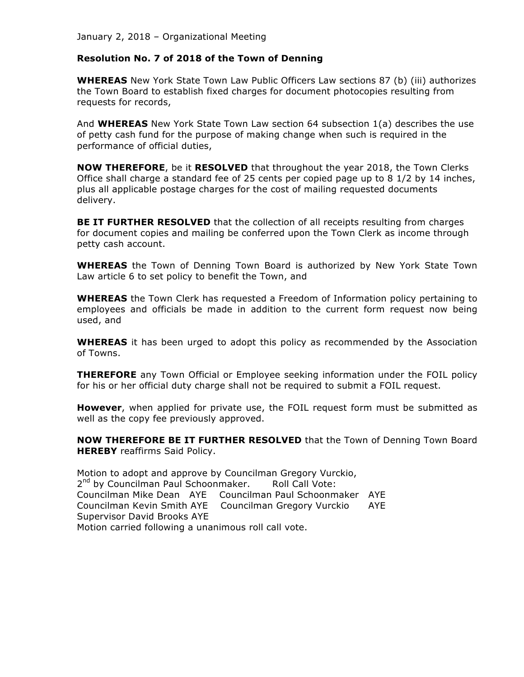#### **Resolution No. 7 of 2018 of the Town of Denning**

**WHEREAS** New York State Town Law Public Officers Law sections 87 (b) (iii) authorizes the Town Board to establish fixed charges for document photocopies resulting from requests for records,

And **WHEREAS** New York State Town Law section 64 subsection 1(a) describes the use of petty cash fund for the purpose of making change when such is required in the performance of official duties,

**NOW THEREFORE**, be it **RESOLVED** that throughout the year 2018, the Town Clerks Office shall charge a standard fee of 25 cents per copied page up to 8 1/2 by 14 inches, plus all applicable postage charges for the cost of mailing requested documents delivery.

**BE IT FURTHER RESOLVED** that the collection of all receipts resulting from charges for document copies and mailing be conferred upon the Town Clerk as income through petty cash account.

**WHEREAS** the Town of Denning Town Board is authorized by New York State Town Law article 6 to set policy to benefit the Town, and

**WHEREAS** the Town Clerk has requested a Freedom of Information policy pertaining to employees and officials be made in addition to the current form request now being used, and

**WHEREAS** it has been urged to adopt this policy as recommended by the Association of Towns.

**THEREFORE** any Town Official or Employee seeking information under the FOIL policy for his or her official duty charge shall not be required to submit a FOIL request.

**However**, when applied for private use, the FOIL request form must be submitted as well as the copy fee previously approved.

**NOW THEREFORE BE IT FURTHER RESOLVED** that the Town of Denning Town Board **HEREBY** reaffirms Said Policy.

Motion to adopt and approve by Councilman Gregory Vurckio, 2<sup>nd</sup> by Councilman Paul Schoonmaker. Roll Call Vote: Councilman Mike Dean AYE Councilman Paul Schoonmaker AYE Councilman Kevin Smith AYE Councilman Gregory Vurckio AYE Supervisor David Brooks AYE Motion carried following a unanimous roll call vote.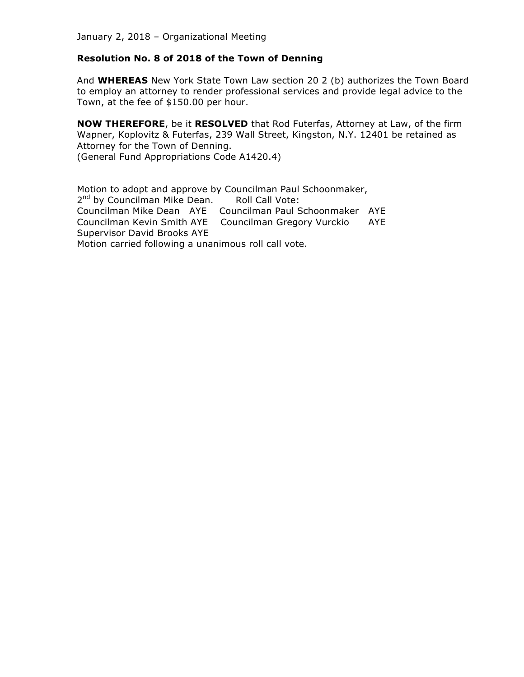#### **Resolution No. 8 of 2018 of the Town of Denning**

And **WHEREAS** New York State Town Law section 20 2 (b) authorizes the Town Board to employ an attorney to render professional services and provide legal advice to the Town, at the fee of \$150.00 per hour.

**NOW THEREFORE**, be it **RESOLVED** that Rod Futerfas, Attorney at Law, of the firm Wapner, Koplovitz & Futerfas, 239 Wall Street, Kingston, N.Y. 12401 be retained as Attorney for the Town of Denning. (General Fund Appropriations Code A1420.4)

Motion to adopt and approve by Councilman Paul Schoonmaker, 2<sup>nd</sup> by Councilman Mike Dean. Roll Call Vote: Councilman Mike Dean AYE Councilman Paul Schoonmaker AYE Councilman Kevin Smith AYE Councilman Gregory Vurckio AYE Supervisor David Brooks AYE Motion carried following a unanimous roll call vote.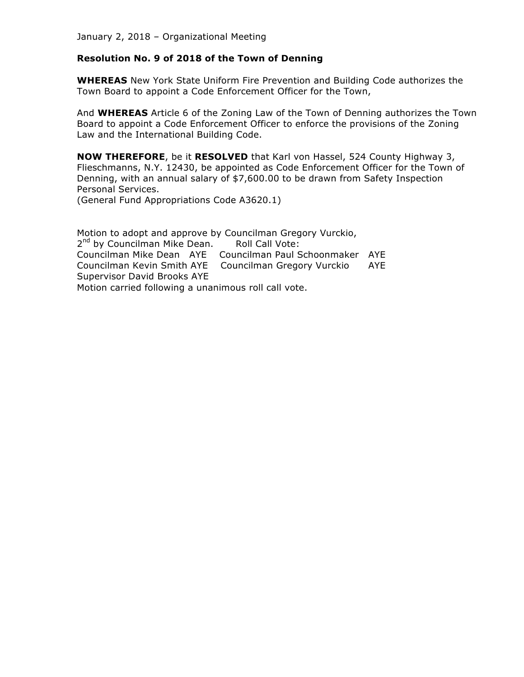#### **Resolution No. 9 of 2018 of the Town of Denning**

**WHEREAS** New York State Uniform Fire Prevention and Building Code authorizes the Town Board to appoint a Code Enforcement Officer for the Town,

And **WHEREAS** Article 6 of the Zoning Law of the Town of Denning authorizes the Town Board to appoint a Code Enforcement Officer to enforce the provisions of the Zoning Law and the International Building Code.

**NOW THEREFORE**, be it **RESOLVED** that Karl von Hassel, 524 County Highway 3, Flieschmanns, N.Y. 12430, be appointed as Code Enforcement Officer for the Town of Denning, with an annual salary of \$7,600.00 to be drawn from Safety Inspection Personal Services.

(General Fund Appropriations Code A3620.1)

Motion to adopt and approve by Councilman Gregory Vurckio, 2<sup>nd</sup> by Councilman Mike Dean. Roll Call Vote: Councilman Mike Dean AYE Councilman Paul Schoonmaker AYE Councilman Kevin Smith AYE Councilman Gregory Vurckio AYE Supervisor David Brooks AYE Motion carried following a unanimous roll call vote.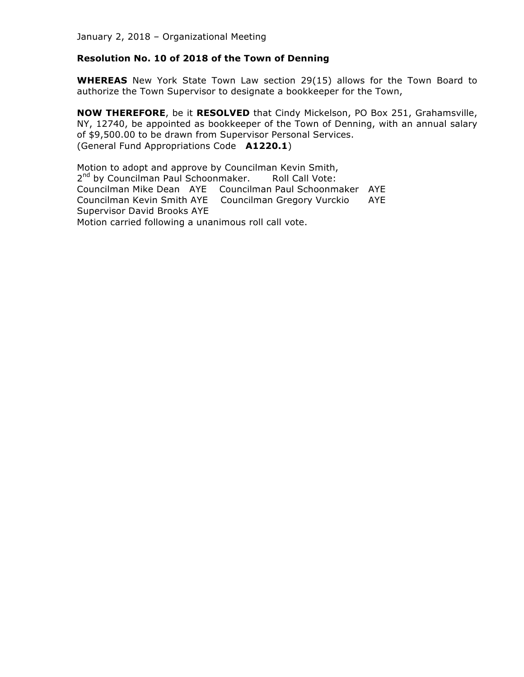#### **Resolution No. 10 of 2018 of the Town of Denning**

**WHEREAS** New York State Town Law section 29(15) allows for the Town Board to authorize the Town Supervisor to designate a bookkeeper for the Town,

**NOW THEREFORE**, be it **RESOLVED** that Cindy Mickelson, PO Box 251, Grahamsville, NY, 12740, be appointed as bookkeeper of the Town of Denning, with an annual salary of \$9,500.00 to be drawn from Supervisor Personal Services. (General Fund Appropriations Code **A1220.1**)

Motion to adopt and approve by Councilman Kevin Smith, 2<sup>nd</sup> by Councilman Paul Schoonmaker. Roll Call Vote: Councilman Mike Dean AYE Councilman Paul Schoonmaker AYE Councilman Kevin Smith AYE Councilman Gregory Vurckio AYE Supervisor David Brooks AYE Motion carried following a unanimous roll call vote.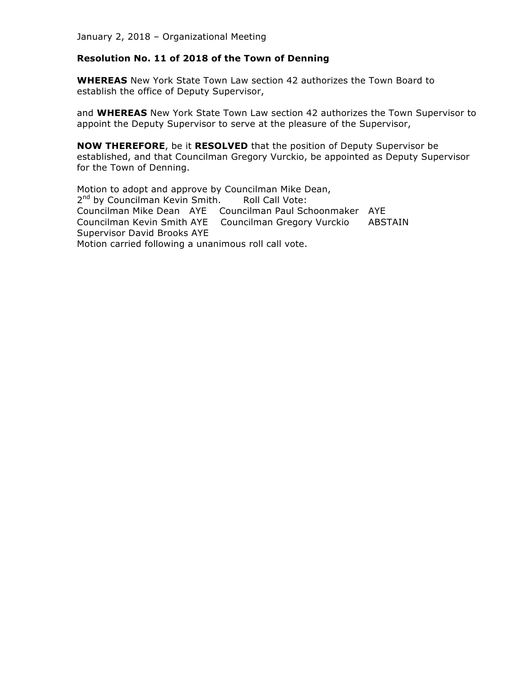#### **Resolution No. 11 of 2018 of the Town of Denning**

**WHEREAS** New York State Town Law section 42 authorizes the Town Board to establish the office of Deputy Supervisor,

and **WHEREAS** New York State Town Law section 42 authorizes the Town Supervisor to appoint the Deputy Supervisor to serve at the pleasure of the Supervisor,

**NOW THEREFORE**, be it **RESOLVED** that the position of Deputy Supervisor be established, and that Councilman Gregory Vurckio, be appointed as Deputy Supervisor for the Town of Denning.

Motion to adopt and approve by Councilman Mike Dean, 2<sup>nd</sup> by Councilman Kevin Smith. Roll Call Vote: Councilman Mike Dean AYE Councilman Paul Schoonmaker AYE Councilman Kevin Smith AYE Councilman Gregory Vurckio ABSTAIN Supervisor David Brooks AYE Motion carried following a unanimous roll call vote.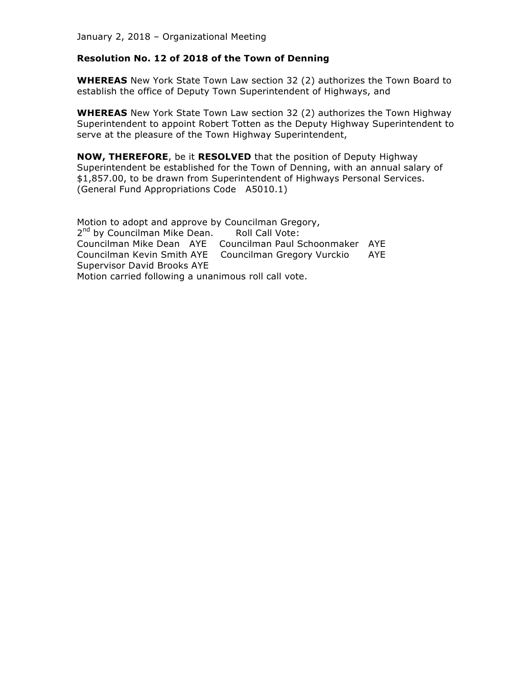#### **Resolution No. 12 of 2018 of the Town of Denning**

**WHEREAS** New York State Town Law section 32 (2) authorizes the Town Board to establish the office of Deputy Town Superintendent of Highways, and

**WHEREAS** New York State Town Law section 32 (2) authorizes the Town Highway Superintendent to appoint Robert Totten as the Deputy Highway Superintendent to serve at the pleasure of the Town Highway Superintendent,

**NOW, THEREFORE**, be it **RESOLVED** that the position of Deputy Highway Superintendent be established for the Town of Denning, with an annual salary of \$1,857.00, to be drawn from Superintendent of Highways Personal Services. (General Fund Appropriations Code A5010.1)

Motion to adopt and approve by Councilman Gregory, 2<sup>nd</sup> by Councilman Mike Dean. Roll Call Vote: Councilman Mike Dean AYE Councilman Paul Schoonmaker AYE Councilman Kevin Smith AYE Councilman Gregory Vurckio AYE Supervisor David Brooks AYE Motion carried following a unanimous roll call vote.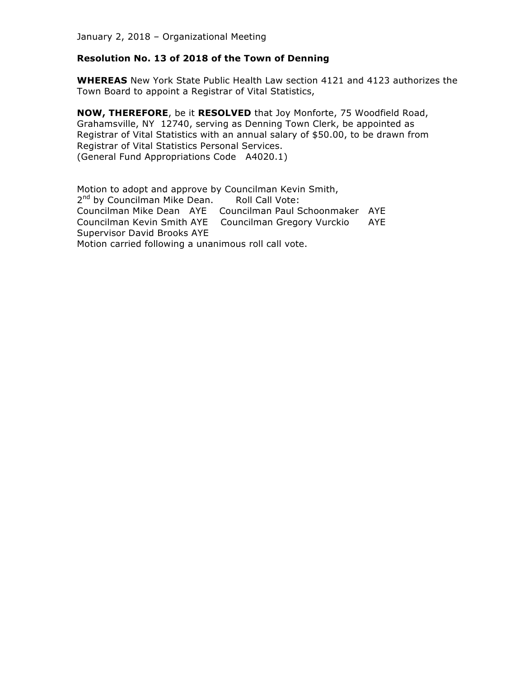#### **Resolution No. 13 of 2018 of the Town of Denning**

**WHEREAS** New York State Public Health Law section 4121 and 4123 authorizes the Town Board to appoint a Registrar of Vital Statistics,

**NOW, THEREFORE**, be it **RESOLVED** that Joy Monforte, 75 Woodfield Road, Grahamsville, NY 12740, serving as Denning Town Clerk, be appointed as Registrar of Vital Statistics with an annual salary of \$50.00, to be drawn from Registrar of Vital Statistics Personal Services. (General Fund Appropriations Code A4020.1)

Motion to adopt and approve by Councilman Kevin Smith, 2<sup>nd</sup> by Councilman Mike Dean. Roll Call Vote: Councilman Mike Dean AYE Councilman Paul Schoonmaker AYE Councilman Kevin Smith AYE Councilman Gregory Vurckio AYE Supervisor David Brooks AYE Motion carried following a unanimous roll call vote.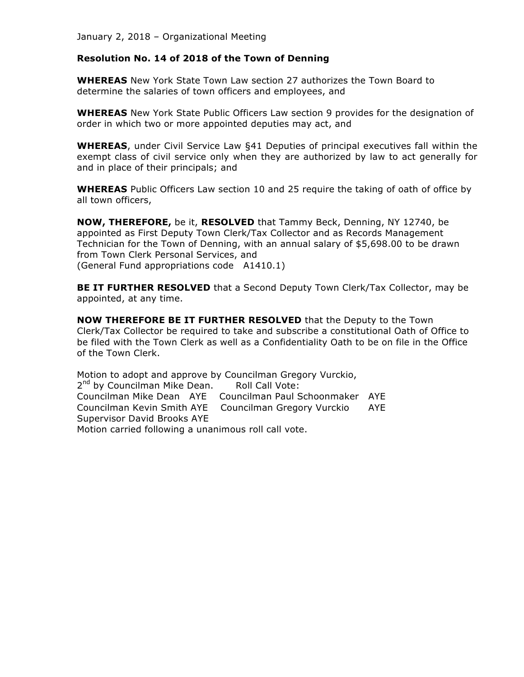#### **Resolution No. 14 of 2018 of the Town of Denning**

**WHEREAS** New York State Town Law section 27 authorizes the Town Board to determine the salaries of town officers and employees, and

**WHEREAS** New York State Public Officers Law section 9 provides for the designation of order in which two or more appointed deputies may act, and

**WHEREAS**, under Civil Service Law §41 Deputies of principal executives fall within the exempt class of civil service only when they are authorized by law to act generally for and in place of their principals; and

**WHEREAS** Public Officers Law section 10 and 25 require the taking of oath of office by all town officers,

**NOW, THEREFORE,** be it, **RESOLVED** that Tammy Beck, Denning, NY 12740, be appointed as First Deputy Town Clerk/Tax Collector and as Records Management Technician for the Town of Denning, with an annual salary of \$5,698.00 to be drawn from Town Clerk Personal Services, and (General Fund appropriations code A1410.1)

**BE IT FURTHER RESOLVED** that a Second Deputy Town Clerk/Tax Collector, may be appointed, at any time.

**NOW THEREFORE BE IT FURTHER RESOLVED** that the Deputy to the Town Clerk/Tax Collector be required to take and subscribe a constitutional Oath of Office to be filed with the Town Clerk as well as a Confidentiality Oath to be on file in the Office of the Town Clerk.

Motion to adopt and approve by Councilman Gregory Vurckio, 2<sup>nd</sup> by Councilman Mike Dean. Roll Call Vote: Councilman Mike Dean AYE Councilman Paul Schoonmaker AYE Councilman Kevin Smith AYE Councilman Gregory Vurckio AYE Supervisor David Brooks AYE Motion carried following a unanimous roll call vote.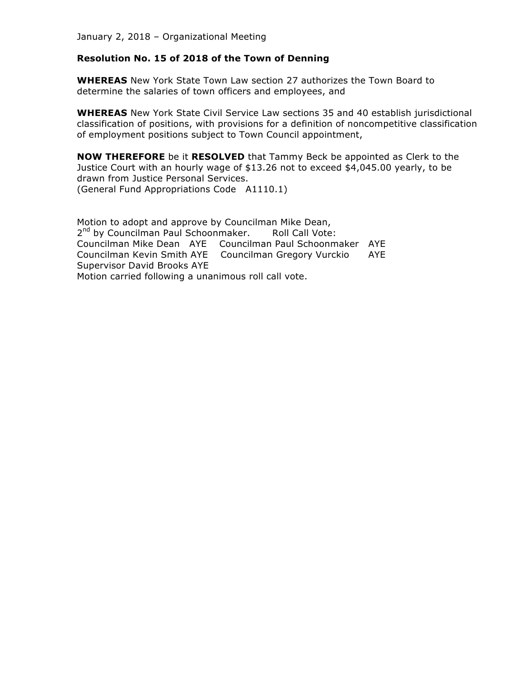#### **Resolution No. 15 of 2018 of the Town of Denning**

**WHEREAS** New York State Town Law section 27 authorizes the Town Board to determine the salaries of town officers and employees, and

**WHEREAS** New York State Civil Service Law sections 35 and 40 establish jurisdictional classification of positions, with provisions for a definition of noncompetitive classification of employment positions subject to Town Council appointment,

**NOW THEREFORE** be it **RESOLVED** that Tammy Beck be appointed as Clerk to the Justice Court with an hourly wage of \$13.26 not to exceed \$4,045.00 yearly, to be drawn from Justice Personal Services. (General Fund Appropriations Code A1110.1)

Motion to adopt and approve by Councilman Mike Dean, 2<sup>nd</sup> by Councilman Paul Schoonmaker. Roll Call Vote: Councilman Mike Dean AYE Councilman Paul Schoonmaker AYE Councilman Kevin Smith AYE Councilman Gregory Vurckio AYE Supervisor David Brooks AYE Motion carried following a unanimous roll call vote.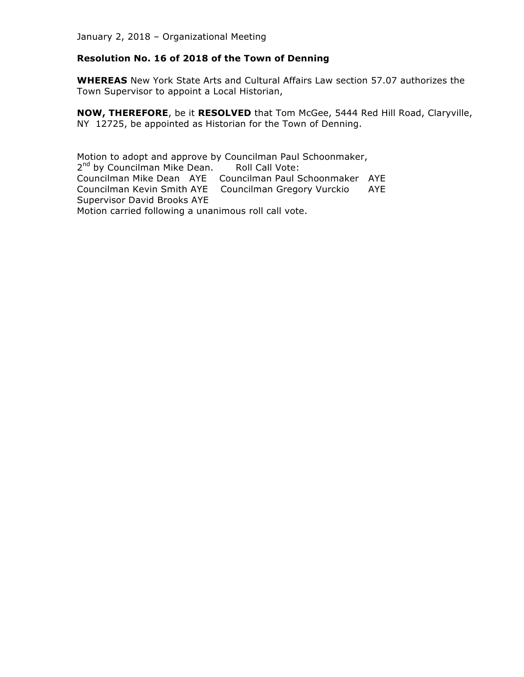# **Resolution No. 16 of 2018 of the Town of Denning**

**WHEREAS** New York State Arts and Cultural Affairs Law section 57.07 authorizes the Town Supervisor to appoint a Local Historian,

**NOW, THEREFORE**, be it **RESOLVED** that Tom McGee, 5444 Red Hill Road, Claryville, NY 12725, be appointed as Historian for the Town of Denning.

Motion to adopt and approve by Councilman Paul Schoonmaker, 2<sup>nd</sup> by Councilman Mike Dean. Roll Call Vote: Councilman Mike Dean AYE Councilman Paul Schoonmaker AYE Councilman Kevin Smith AYE Councilman Gregory Vurckio AYE Supervisor David Brooks AYE Motion carried following a unanimous roll call vote.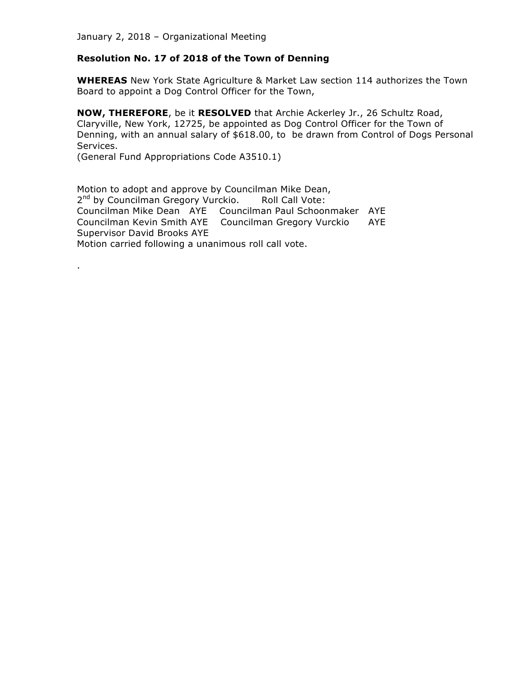#### **Resolution No. 17 of 2018 of the Town of Denning**

**WHEREAS** New York State Agriculture & Market Law section 114 authorizes the Town Board to appoint a Dog Control Officer for the Town,

**NOW, THEREFORE**, be it **RESOLVED** that Archie Ackerley Jr., 26 Schultz Road, Claryville, New York, 12725, be appointed as Dog Control Officer for the Town of Denning, with an annual salary of \$618.00, to be drawn from Control of Dogs Personal Services.

(General Fund Appropriations Code A3510.1)

.

Motion to adopt and approve by Councilman Mike Dean, 2<sup>nd</sup> by Councilman Gregory Vurckio. Roll Call Vote: Councilman Mike Dean AYE Councilman Paul Schoonmaker AYE Councilman Kevin Smith AYE Councilman Gregory Vurckio AYE Supervisor David Brooks AYE Motion carried following a unanimous roll call vote.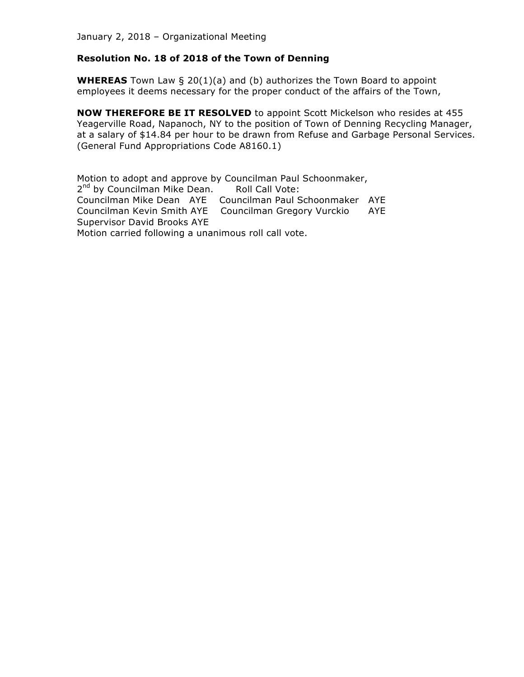#### **Resolution No. 18 of 2018 of the Town of Denning**

**WHEREAS** Town Law § 20(1)(a) and (b) authorizes the Town Board to appoint employees it deems necessary for the proper conduct of the affairs of the Town,

**NOW THEREFORE BE IT RESOLVED** to appoint Scott Mickelson who resides at 455 Yeagerville Road, Napanoch, NY to the position of Town of Denning Recycling Manager, at a salary of \$14.84 per hour to be drawn from Refuse and Garbage Personal Services. (General Fund Appropriations Code A8160.1)

Motion to adopt and approve by Councilman Paul Schoonmaker, 2<sup>nd</sup> by Councilman Mike Dean. Roll Call Vote: Councilman Mike Dean AYE Councilman Paul Schoonmaker AYE Councilman Kevin Smith AYE Councilman Gregory Vurckio AYE Supervisor David Brooks AYE Motion carried following a unanimous roll call vote.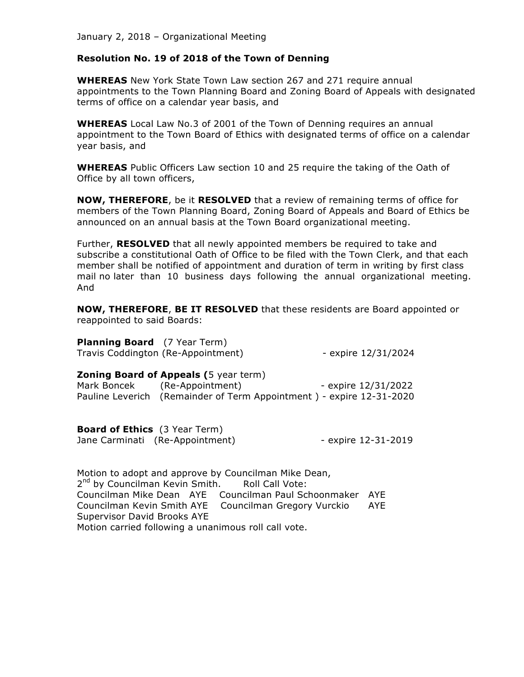#### **Resolution No. 19 of 2018 of the Town of Denning**

**WHEREAS** New York State Town Law section 267 and 271 require annual appointments to the Town Planning Board and Zoning Board of Appeals with designated terms of office on a calendar year basis, and

**WHEREAS** Local Law No.3 of 2001 of the Town of Denning requires an annual appointment to the Town Board of Ethics with designated terms of office on a calendar year basis, and

**WHEREAS** Public Officers Law section 10 and 25 require the taking of the Oath of Office by all town officers,

**NOW, THEREFORE**, be it **RESOLVED** that a review of remaining terms of office for members of the Town Planning Board, Zoning Board of Appeals and Board of Ethics be announced on an annual basis at the Town Board organizational meeting.

Further, **RESOLVED** that all newly appointed members be required to take and subscribe a constitutional Oath of Office to be filed with the Town Clerk, and that each member shall be notified of appointment and duration of term in writing by first class mail no later than 10 business days following the annual organizational meeting. And

**NOW, THEREFORE**, **BE IT RESOLVED** that these residents are Board appointed or reappointed to said Boards:

| <b>Planning Board</b> (7 Year Term) |                                    |                     |
|-------------------------------------|------------------------------------|---------------------|
|                                     | Travis Coddington (Re-Appointment) | - expire 12/31/2024 |

| <b>Zoning Board of Appeals (5 year term)</b> |                                                                      |  |                     |
|----------------------------------------------|----------------------------------------------------------------------|--|---------------------|
| Mark Boncek                                  | (Re-Appointment)                                                     |  | - expire 12/31/2022 |
|                                              | Pauline Leverich (Remainder of Term Appointment) - expire 12-31-2020 |  |                     |

**Board of Ethics** (3 Year Term) Jane Carminati (Re-Appointment) - expire 12-31-2019

Motion to adopt and approve by Councilman Mike Dean, 2<sup>nd</sup> by Councilman Kevin Smith. Roll Call Vote: Councilman Mike Dean AYE Councilman Paul Schoonmaker AYE Councilman Kevin Smith AYE Councilman Gregory Vurckio AYE Supervisor David Brooks AYE Motion carried following a unanimous roll call vote.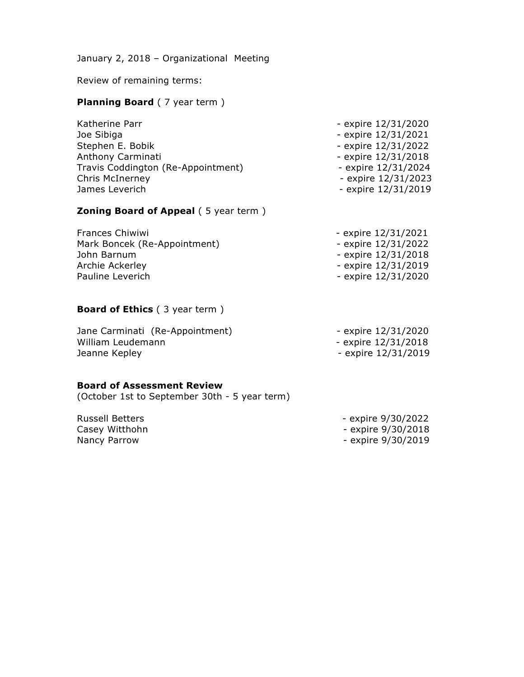Review of remaining terms:

#### **Planning Board** (7 year term)

| Katherine Parr                     | - expire 12/31/2020   |
|------------------------------------|-----------------------|
| Joe Sibiga                         | - expire 12/31/2021   |
| Stephen E. Bobik                   | - expire 12/31/2022   |
| Anthony Carminati                  | - expire $12/31/2018$ |
| Travis Coddington (Re-Appointment) | - expire 12/31/2024   |
| Chris McInerney                    | - expire 12/31/2023   |
| James Leverich                     | - expire 12/31/2019   |
|                                    |                       |

#### **Zoning Board of Appeal (5 year term)**

| - expire 12/31/2021 |
|---------------------|
| - expire 12/31/2022 |
| - expire 12/31/2018 |
| - expire 12/31/2019 |
| - expire 12/31/2020 |
|                     |

# **Board of Ethics** (3 year term)

| Jane Carminati (Re-Appointment) | - expire 12/31/2020 |
|---------------------------------|---------------------|
| William Leudemann               | - expire 12/31/2018 |
| Jeanne Kepley                   | - expire 12/31/2019 |

#### **Board of Assessment Review**

(October 1st to September 30th - 5 year term)

Casey Witthohn **Casey Witthohn - expire 9/30/2018** Nancy Parrow **Nancy Parrow** - expire 9/30/2019

Russell Betters - expire 9/30/2022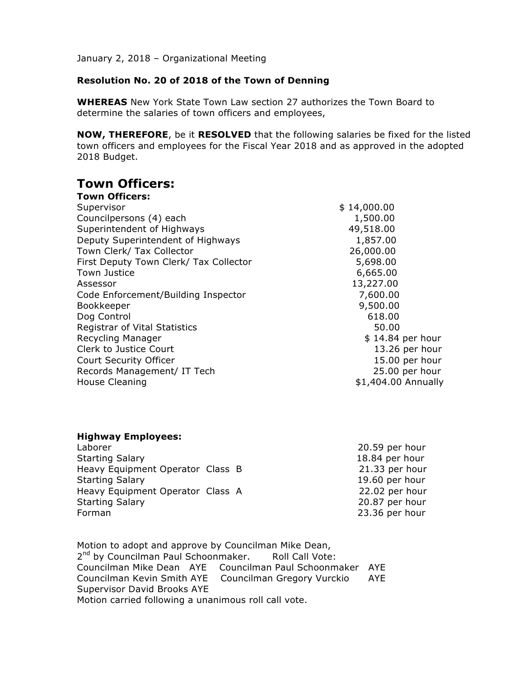# **Resolution No. 20 of 2018 of the Town of Denning**

**WHEREAS** New York State Town Law section 27 authorizes the Town Board to determine the salaries of town officers and employees,

**NOW, THEREFORE**, be it **RESOLVED** that the following salaries be fixed for the listed town officers and employees for the Fiscal Year 2018 and as approved in the adopted 2018 Budget.

# **Town Officers:**

| <b>Town Officers:</b>                  |                     |
|----------------------------------------|---------------------|
| Supervisor                             | \$14,000.00         |
| Councilpersons (4) each                | 1,500.00            |
| Superintendent of Highways             | 49,518.00           |
| Deputy Superintendent of Highways      | 1,857.00            |
| Town Clerk/ Tax Collector              | 26,000.00           |
| First Deputy Town Clerk/ Tax Collector | 5,698.00            |
| <b>Town Justice</b>                    | 6,665.00            |
| Assessor                               | 13,227.00           |
| Code Enforcement/Building Inspector    | 7,600.00            |
| Bookkeeper                             | 9,500.00            |
| Dog Control                            | 618.00              |
| <b>Registrar of Vital Statistics</b>   | 50.00               |
| Recycling Manager                      | $$14.84$ per hour   |
| Clerk to Justice Court                 | 13.26 per hour      |
| Court Security Officer                 | 15.00 per hour      |
| Records Management/ IT Tech            | 25.00 per hour      |
| House Cleaning                         | \$1,404.00 Annually |

| <b>Highway Employees:</b>        |                |
|----------------------------------|----------------|
| Laborer                          | 20.59 per hour |
| <b>Starting Salary</b>           | 18.84 per hour |
| Heavy Equipment Operator Class B | 21.33 per hour |
| <b>Starting Salary</b>           | 19.60 per hour |
| Heavy Equipment Operator Class A | 22.02 per hour |
| <b>Starting Salary</b>           | 20.87 per hour |
| Forman                           | 23.36 per hour |
|                                  |                |

Motion to adopt and approve by Councilman Mike Dean, 2<sup>nd</sup> by Councilman Paul Schoonmaker. Roll Call Vote: Councilman Mike Dean AYE Councilman Paul Schoonmaker AYE Councilman Kevin Smith AYE Councilman Gregory Vurckio AYE Supervisor David Brooks AYE Motion carried following a unanimous roll call vote.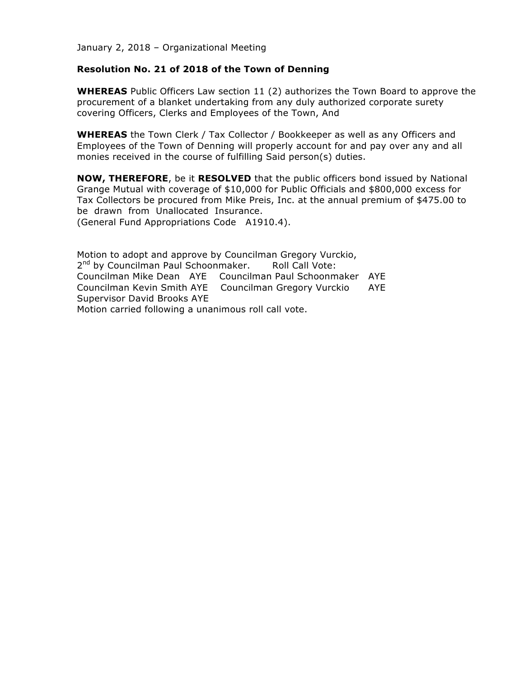#### **Resolution No. 21 of 2018 of the Town of Denning**

**WHEREAS** Public Officers Law section 11 (2) authorizes the Town Board to approve the procurement of a blanket undertaking from any duly authorized corporate surety covering Officers, Clerks and Employees of the Town, And

**WHEREAS** the Town Clerk / Tax Collector / Bookkeeper as well as any Officers and Employees of the Town of Denning will properly account for and pay over any and all monies received in the course of fulfilling Said person(s) duties.

**NOW, THEREFORE**, be it **RESOLVED** that the public officers bond issued by National Grange Mutual with coverage of \$10,000 for Public Officials and \$800,000 excess for Tax Collectors be procured from Mike Preis, Inc. at the annual premium of \$475.00 to be drawn from Unallocated Insurance. (General Fund Appropriations Code A1910.4).

Motion to adopt and approve by Councilman Gregory Vurckio, 2<sup>nd</sup> by Councilman Paul Schoonmaker. Roll Call Vote: Councilman Mike Dean AYE Councilman Paul Schoonmaker AYE Councilman Kevin Smith AYE Councilman Gregory Vurckio AYE Supervisor David Brooks AYE Motion carried following a unanimous roll call vote.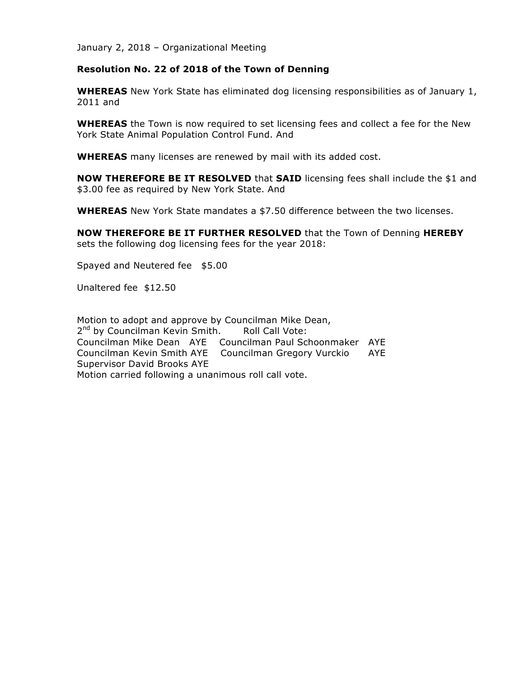#### **Resolution No. 22 of 2018 of the Town of Denning**

**WHEREAS** New York State has eliminated dog licensing responsibilities as of January 1, 2011 and

**WHEREAS** the Town is now required to set licensing fees and collect a fee for the New York State Animal Population Control Fund. And

**WHEREAS** many licenses are renewed by mail with its added cost.

**NOW THEREFORE BE IT RESOLVED** that **SAID** licensing fees shall include the \$1 and \$3.00 fee as required by New York State. And

**WHEREAS** New York State mandates a \$7.50 difference between the two licenses.

**NOW THEREFORE BE IT FURTHER RESOLVED** that the Town of Denning **HEREBY** sets the following dog licensing fees for the year 2018:

Spayed and Neutered fee \$5.00

Unaltered fee \$12.50

Motion to adopt and approve by Councilman Mike Dean, 2<sup>nd</sup> by Councilman Kevin Smith. Roll Call Vote: Councilman Mike Dean AYE Councilman Paul Schoonmaker AYE Councilman Kevin Smith AYE Councilman Gregory Vurckio AYE Supervisor David Brooks AYE Motion carried following a unanimous roll call vote.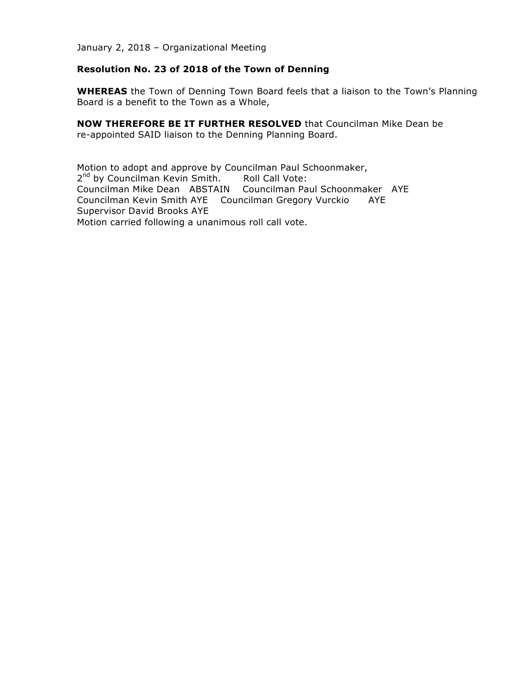#### **Resolution No. 23 of 2018 of the Town of Denning**

**WHEREAS** the Town of Denning Town Board feels that a liaison to the Town's Planning Board is a benefit to the Town as a Whole,

**NOW THEREFORE BE IT FURTHER RESOLVED** that Councilman Mike Dean be re-appointed SAID liaison to the Denning Planning Board.

Motion to adopt and approve by Councilman Paul Schoonmaker, 2<sup>nd</sup> by Councilman Kevin Smith. Roll Call Vote: Councilman Mike Dean ABSTAIN Councilman Paul Schoonmaker AYE Councilman Kevin Smith AYE Councilman Gregory Vurckio AYE Supervisor David Brooks AYE Motion carried following a unanimous roll call vote.